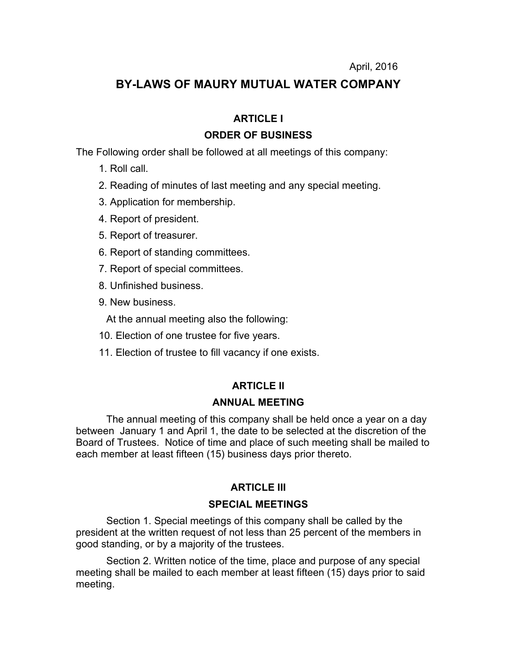# **BY-LAWS OF MAURY MUTUAL WATER COMPANY**

# **ARTICLE I**

# **ORDER OF BUSINESS**

The Following order shall be followed at all meetings of this company:

- 1. Roll call.
- 2. Reading of minutes of last meeting and any special meeting.
- 3. Application for membership.
- 4. Report of president.
- 5. Report of treasurer.
- 6. Report of standing committees.
- 7. Report of special committees.
- 8. Unfinished business.
- 9. New business.

At the annual meeting also the following:

- 10. Election of one trustee for five years.
- 11. Election of trustee to fill vacancy if one exists.

# **ARTICLE II**

# **ANNUAL MEETING**

The annual meeting of this company shall be held once a year on a day between January 1 and April 1, the date to be selected at the discretion of the Board of Trustees. Notice of time and place of such meeting shall be mailed to each member at least fifteen (15) business days prior thereto.

# **ARTICLE III**

# **SPECIAL MEETINGS**

Section 1. Special meetings of this company shall be called by the president at the written request of not less than 25 percent of the members in good standing, or by a majority of the trustees.

Section 2. Written notice of the time, place and purpose of any special meeting shall be mailed to each member at least fifteen (15) days prior to said meeting.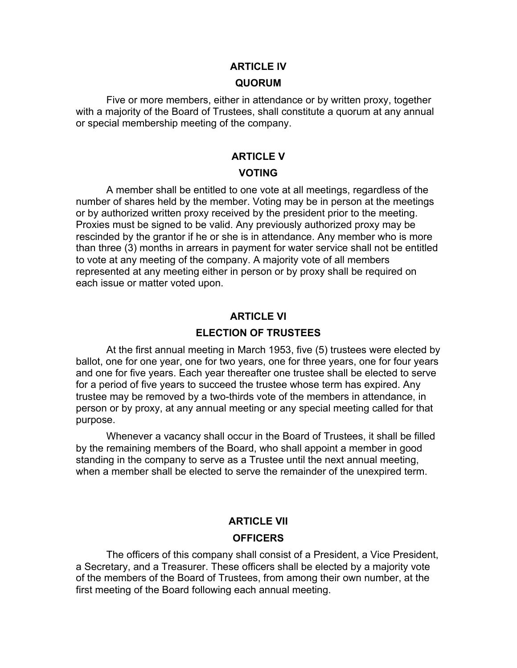## **ARTICLE lV**

#### **QUORUM**

Five or more members, either in attendance or by written proxy, together with a majority of the Board of Trustees, shall constitute a quorum at any annual or special membership meeting of the company.

# **ARTICLE V VOTING**

A member shall be entitled to one vote at all meetings, regardless of the number of shares held by the member. Voting may be in person at the meetings or by authorized written proxy received by the president prior to the meeting. Proxies must be signed to be valid. Any previously authorized proxy may be rescinded by the grantor if he or she is in attendance. Any member who is more than three (3) months in arrears in payment for water service shall not be entitled to vote at any meeting of the company. A majority vote of all members represented at any meeting either in person or by proxy shall be required on each issue or matter voted upon.

## **ARTICLE VI**

## **ELECTION OF TRUSTEES**

At the first annual meeting in March 1953, five (5) trustees were elected by ballot, one for one year, one for two years, one for three years, one for four years and one for five years. Each year thereafter one trustee shall be elected to serve for a period of five years to succeed the trustee whose term has expired. Any trustee may be removed by a two-thirds vote of the members in attendance, in person or by proxy, at any annual meeting or any special meeting called for that purpose.

Whenever a vacancy shall occur in the Board of Trustees, it shall be filled by the remaining members of the Board, who shall appoint a member in good standing in the company to serve as a Trustee until the next annual meeting, when a member shall be elected to serve the remainder of the unexpired term.

# **ARTICLE VII OFFICERS**

The officers of this company shall consist of a President, a Vice President, a Secretary, and a Treasurer. These officers shall be elected by a majority vote of the members of the Board of Trustees, from among their own number, at the first meeting of the Board following each annual meeting.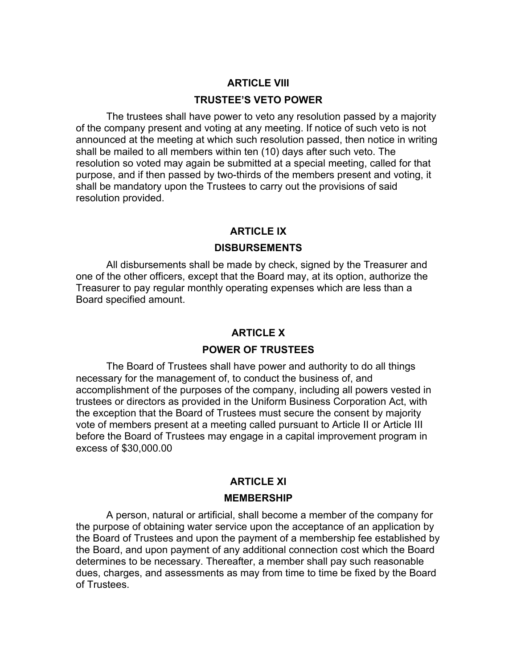## **ARTICLE VIII**

#### **TRUSTEE'S VETO POWER**

The trustees shall have power to veto any resolution passed by a majority of the company present and voting at any meeting. If notice of such veto is not announced at the meeting at which such resolution passed, then notice in writing shall be mailed to all members within ten (10) days after such veto. The resolution so voted may again be submitted at a special meeting, called for that purpose, and if then passed by two-thirds of the members present and voting, it shall be mandatory upon the Trustees to carry out the provisions of said resolution provided.

## **ARTICLE IX**

#### **DISBURSEMENTS**

All disbursements shall be made by check, signed by the Treasurer and one of the other officers, except that the Board may, at its option, authorize the Treasurer to pay regular monthly operating expenses which are less than a Board specified amount.

#### **ARTICLE X**

### **POWER OF TRUSTEES**

The Board of Trustees shall have power and authority to do all things necessary for the management of, to conduct the business of, and accomplishment of the purposes of the company, including all powers vested in trustees or directors as provided in the Uniform Business Corporation Act, with the exception that the Board of Trustees must secure the consent by majority vote of members present at a meeting called pursuant to Article II or Article III before the Board of Trustees may engage in a capital improvement program in excess of \$30,000.00

#### **ARTICLE XI**

#### **MEMBERSHIP**

A person, natural or artificial, shall become a member of the company for the purpose of obtaining water service upon the acceptance of an application by the Board of Trustees and upon the payment of a membership fee established by the Board, and upon payment of any additional connection cost which the Board determines to be necessary. Thereafter, a member shall pay such reasonable dues, charges, and assessments as may from time to time be fixed by the Board of Trustees.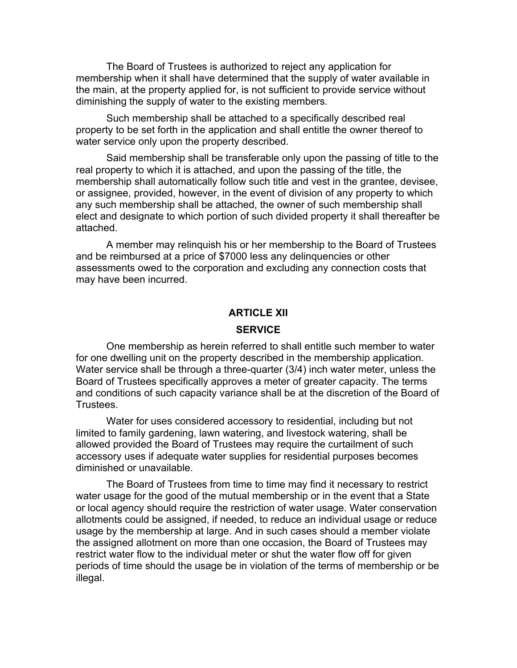The Board of Trustees is authorized to reject any application for membership when it shall have determined that the supply of water available in the main, at the property applied for, is not sufficient to provide service without diminishing the supply of water to the existing members.

Such membership shall be attached to a specifically described real property to be set forth in the application and shall entitle the owner thereof to water service only upon the property described.

Said membership shall be transferable only upon the passing of title to the real property to which it is attached, and upon the passing of the title, the membership shall automatically follow such title and vest in the grantee, devisee, or assignee, provided, however, in the event of division of any property to which any such membership shall be attached, the owner of such membership shall elect and designate to which portion of such divided property it shall thereafter be attached.

A member may relinquish his or her membership to the Board of Trustees and be reimbursed at a price of \$7000 less any delinquencies or other assessments owed to the corporation and excluding any connection costs that may have been incurred.

## **ARTICLE XII**

## **SERVICE**

One membership as herein referred to shall entitle such member to water for one dwelling unit on the property described in the membership application. Water service shall be through a three-quarter (3/4) inch water meter, unless the Board of Trustees specifically approves a meter of greater capacity. The terms and conditions of such capacity variance shall be at the discretion of the Board of Trustees.

Water for uses considered accessory to residential, including but not limited to family gardening, lawn watering, and livestock watering, shall be allowed provided the Board of Trustees may require the curtailment of such accessory uses if adequate water supplies for residential purposes becomes diminished or unavailable.

The Board of Trustees from time to time may find it necessary to restrict water usage for the good of the mutual membership or in the event that a State or local agency should require the restriction of water usage. Water conservation allotments could be assigned, if needed, to reduce an individual usage or reduce usage by the membership at large. And in such cases should a member violate the assigned allotment on more than one occasion, the Board of Trustees may restrict water flow to the individual meter or shut the water flow off for given periods of time should the usage be in violation of the terms of membership or be illegal.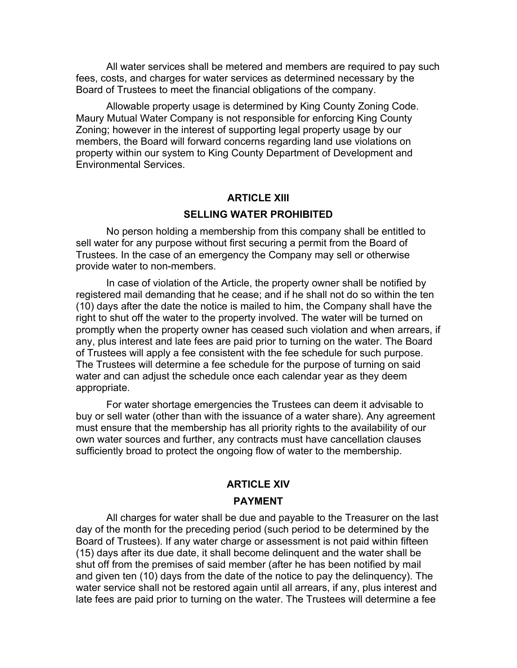All water services shall be metered and members are required to pay such fees, costs, and charges for water services as determined necessary by the Board of Trustees to meet the financial obligations of the company.

Allowable property usage is determined by King County Zoning Code. Maury Mutual Water Company is not responsible for enforcing King County Zoning; however in the interest of supporting legal property usage by our members, the Board will forward concerns regarding land use violations on property within our system to King County Department of Development and Environmental Services.

## **ARTICLE XIII**

## **SELLING WATER PROHIBITED**

No person holding a membership from this company shall be entitled to sell water for any purpose without first securing a permit from the Board of Trustees. In the case of an emergency the Company may sell or otherwise provide water to non-members.

In case of violation of the Article, the property owner shall be notified by registered mail demanding that he cease; and if he shall not do so within the ten (10) days after the date the notice is mailed to him, the Company shall have the right to shut off the water to the property involved. The water will be turned on promptly when the property owner has ceased such violation and when arrears, if any, plus interest and late fees are paid prior to turning on the water. The Board of Trustees will apply a fee consistent with the fee schedule for such purpose. The Trustees will determine a fee schedule for the purpose of turning on said water and can adjust the schedule once each calendar year as they deem appropriate.

For water shortage emergencies the Trustees can deem it advisable to buy or sell water (other than with the issuance of a water share). Any agreement must ensure that the membership has all priority rights to the availability of our own water sources and further, any contracts must have cancellation clauses sufficiently broad to protect the ongoing flow of water to the membership.

# **ARTICLE XIV**

#### **PAYMENT**

All charges for water shall be due and payable to the Treasurer on the last day of the month for the preceding period (such period to be determined by the Board of Trustees). If any water charge or assessment is not paid within fifteen (15) days after its due date, it shall become delinquent and the water shall be shut off from the premises of said member (after he has been notified by mail and given ten (10) days from the date of the notice to pay the delinquency). The water service shall not be restored again until all arrears, if any, plus interest and late fees are paid prior to turning on the water. The Trustees will determine a fee